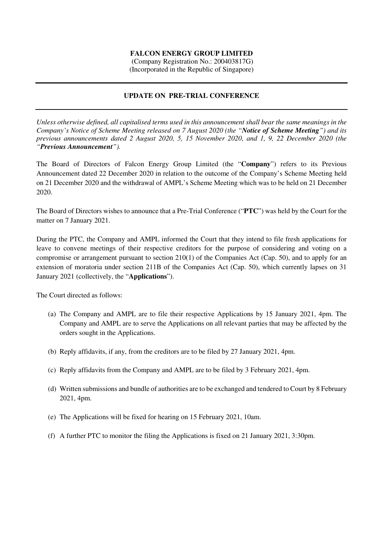## **FALCON ENERGY GROUP LIMITED**

 (Company Registration No.: 200403817G) (Incorporated in the Republic of Singapore)

## **UPDATE ON PRE-TRIAL CONFERENCE**

*Unless otherwise defined, all capitalised terms used in this announcement shall bear the same meanings in the Company's Notice of Scheme Meeting released on 7 August 2020 (the "Notice of Scheme Meeting") and its previous announcements dated 2 August 2020, 5, 15 November 2020, and 1, 9, 22 December 2020 (the "Previous Announcement").* 

The Board of Directors of Falcon Energy Group Limited (the "**Company**") refers to its Previous Announcement dated 22 December 2020 in relation to the outcome of the Company's Scheme Meeting held on 21 December 2020 and the withdrawal of AMPL's Scheme Meeting which was to be held on 21 December 2020.

The Board of Directors wishes to announce that a Pre-Trial Conference ("**PTC**") was held by the Court for the matter on 7 January 2021.

During the PTC, the Company and AMPL informed the Court that they intend to file fresh applications for leave to convene meetings of their respective creditors for the purpose of considering and voting on a compromise or arrangement pursuant to section 210(1) of the Companies Act (Cap. 50), and to apply for an extension of moratoria under section 211B of the Companies Act (Cap. 50), which currently lapses on 31 January 2021 (collectively, the "**Applications**").

The Court directed as follows:

- (a) The Company and AMPL are to file their respective Applications by 15 January 2021, 4pm. The Company and AMPL are to serve the Applications on all relevant parties that may be affected by the orders sought in the Applications.
- (b) Reply affidavits, if any, from the creditors are to be filed by 27 January 2021, 4pm.
- (c) Reply affidavits from the Company and AMPL are to be filed by 3 February 2021, 4pm.
- (d) Written submissions and bundle of authorities are to be exchanged and tendered to Court by 8 February 2021, 4pm.
- (e) The Applications will be fixed for hearing on 15 February 2021, 10am.
- (f) A further PTC to monitor the filing the Applications is fixed on 21 January 2021, 3:30pm.